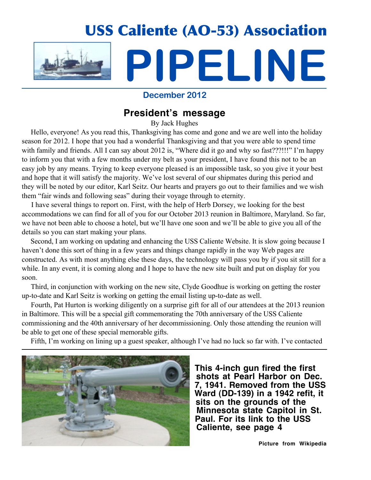

## **December 2012**

# **President's message**

By Jack Hughes

Hello, everyone! As you read this, Thanksgiving has come and gone and we are well into the holiday season for 2012. I hope that you had a wonderful Thanksgiving and that you were able to spend time with family and friends. All I can say about 2012 is, "Where did it go and why so fast???!!!" I'm happy to inform you that with a few months under my belt as your president, I have found this not to be an easy job by any means. Trying to keep everyone pleased is an impossible task, so you give it your best and hope that it will satisfy the majority. We've lost several of our shipmates during this period and they will be noted by our editor, Karl Seitz. Our hearts and prayers go out to their families and we wish them "fair winds and following seas" during their voyage through to eternity.

 I have several things to report on. First, with the help of Herb Dorsey, we looking for the best accommodations we can find for all of you for our October 2013 reunion in Baltimore, Maryland. So far, we have not been able to choose a hotel, but we'll have one soon and we'll be able to give you all of the details so you can start making your plans.

 Second, I am working on updating and enhancing the USS Caliente Website. It is slow going because I haven't done this sort of thing in a few years and things change rapidly in the way Web pages are constructed. As with most anything else these days, the technology will pass you by if you sit still for a while. In any event, it is coming along and I hope to have the new site built and put on display for you soon.

 Third, in conjunction with working on the new site, Clyde Goodhue is working on getting the roster up-to-date and Karl Seitz is working on getting the email listing up-to-date as well.

 Fourth, Pat Hurton is working diligently on a surprise gift for all of our attendees at the 2013 reunion in Baltimore. This will be a special gift commemorating the 70th anniversary of the USS Caliente commissioning and the 40th anniversary of her decommissioning. Only those attending the reunion will be able to get one of these special memorable gifts.

Fifth, I'm working on lining up a guest speaker, although I've had no luck so far with. I've contacted



 **This 4-inch gun fired the first shots at Pearl Harbor on Dec. 7, 1941. Removed from the USS Ward (DD-139) in a 1942 refit, it sits on the grounds of the Minnesota state Capitol in St. Paul. For its link to the USS Caliente, see page 4**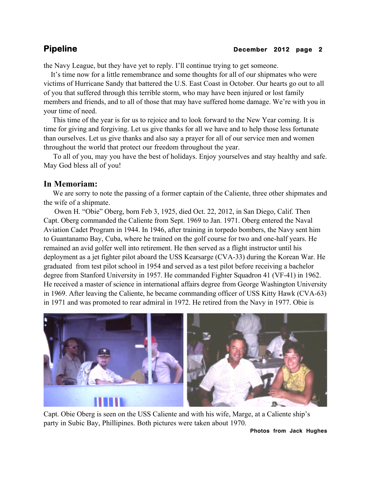the Navy League, but they have yet to reply. I'll continue trying to get someone.

 It's time now for a little remembrance and some thoughts for all of our shipmates who were victims of Hurricane Sandy that battered the U.S. East Coast in October. Our hearts go out to all of you that suffered through this terrible storm, who may have been injured or lost family members and friends, and to all of those that may have suffered home damage. We're with you in your time of need.

 This time of the year is for us to rejoice and to look forward to the New Year coming. It is time for giving and forgiving. Let us give thanks for all we have and to help those less fortunate than ourselves. Let us give thanks and also say a prayer for all of our service men and women throughout the world that protect our freedom throughout the year.

 To all of you, may you have the best of holidays. Enjoy yourselves and stay healthy and safe. May God bless all of you!

## **In Memoriam:**

 We are sorry to note the passing of a former captain of the Caliente, three other shipmates and the wife of a shipmate.

 Owen H. "Obie" Oberg, born Feb 3, 1925, died Oct. 22, 2012, in San Diego, Calif. Then Capt. Oberg commanded the Caliente from Sept. 1969 to Jan. 1971. Oberg entered the Naval Aviation Cadet Program in 1944. In 1946, after training in torpedo bombers, the Navy sent him to Guantanamo Bay, Cuba, where he trained on the golf course for two and one-half years. He remained an avid golfer well into retirement. He then served as a flight instructor until his deployment as a jet fighter pilot aboard the USS Kearsarge (CVA-33) during the Korean War. He graduated from test pilot school in 1954 and served as a test pilot before receiving a bachelor degree from Stanford University in 1957. He commanded Fighter Squadron 41 (VF-41) in 1962. He received a master of science in international affairs degree from George Washington University in 1969. After leaving the Caliente, he became commanding officer of USS Kitty Hawk (CVA-63) in 1971 and was promoted to rear admiral in 1972. He retired from the Navy in 1977. Obie is



Capt. Obie Oberg is seen on the USS Caliente and with his wife, Marge, at a Caliente ship's party in Subic Bay, Phillipines. Both pictures were taken about 1970.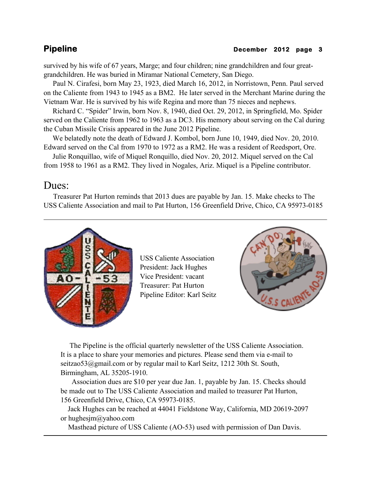survived by his wife of 67 years, Marge; and four children; nine grandchildren and four greatgrandchildren. He was buried in Miramar National Cemetery, San Diego.

 Paul N. Cirafesi, born May 23, 1923, died March 16, 2012, in Norristown, Penn. Paul served on the Caliente from 1943 to 1945 as a BM2. He later served in the Merchant Marine during the Vietnam War. He is survived by his wife Regina and more than 75 nieces and nephews.

 Richard C. "Spider" Irwin, born Nov. 8, 1940, died Oct. 29, 2012, in Springfield, Mo. Spider served on the Caliente from 1962 to 1963 as a DC3. His memory about serving on the Cal during the Cuban Missile Crisis appeared in the June 2012 Pipeline.

 We belatedly note the death of Edward J. Kombol, born June 10, 1949, died Nov. 20, 2010. Edward served on the Cal from 1970 to 1972 as a RM2. He was a resident of Reedsport, Ore.

 Julie Ronquillao, wife of Miquel Ronquillo, died Nov. 20, 2012. Miquel served on the Cal from 1958 to 1961 as a RM2. They lived in Nogales, Ariz. Miquel is a Pipeline contributor.

# Dues:

 Treasurer Pat Hurton reminds that 2013 dues are payable by Jan. 15. Make checks to The USS Caliente Association and mail to Pat Hurton, 156 Greenfield Drive, Chico, CA 95973-0185



USS Caliente Association President: Jack Hughes Vice President: vacant Treasurer: Pat Hurton Pipeline Editor: Karl Seitz



 The Pipeline is the official quarterly newsletter of the USS Caliente Association. It is a place to share your memories and pictures. Please send them via e-mail to seitzao53@gmail.com or by regular mail to Karl Seitz, 1212 30th St. South, Birmingham, AL 35205-1910.

 Association dues are \$10 per year due Jan. 1, payable by Jan. 15. Checks should be made out to The USS Caliente Association and mailed to treasurer Pat Hurton, 156 Greenfield Drive, Chico, CA 95973-0185.

 Jack Hughes can be reached at 44041 Fieldstone Way, California, MD 20619-2097 or hughesjm@yahoo.com

Masthead picture of USS Caliente (AO-53) used with permission of Dan Davis.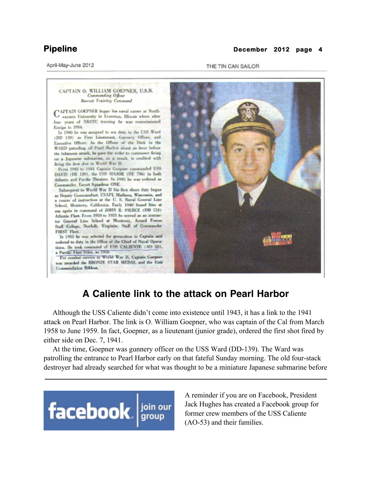### April-May-June 2012

## **Pipeline December 2012 page 4**

THE TIN CAN SAILOR

### CAPTAIN O. WILLIAM GOEPNER, U.S.N. Commanding Officer Recruit Training Command CAPTAIN GOEPNER began his naval career at Northfour years of NROTC training he was commissioned Ensign in 1934. In 1940 he was assigned to sea daty in the USS Ward (DD 139) as First Lieutenint, Gunnery Officer, and Executive Officer. As the Officer of the Deck in the WARD patrolling off Pearl Harbor about an hour before the infamous attack, he gave the order to commence firing on a Japanese submarine, as a result, is credited with firing the first shat in World War H. From 1942 to 1944 Captain Gorpner commanded USS DAVIS (DE 129), the USS MAJOR (DE 796) in both Atlantic and Pacific Theaters. In 1945 he was ordered as Commander, Escort Squadron ONE. Subsequent to World War II his first shore duty began as Deputy Commandant, USAFI, Machson, Wisconsin, and a course of instruction at the U.S. Naval General Line School, Monterey, California. Early 1949 found him at sea again in command of JOHN R. PIERCE (DD 753) Atlantic Fleet. From 1950 to 1955 he served as an instructor General Line School at Monterey, Armed Forces Staff College, Norfolk, Virginia; Staff of Commander FIRST Fleet. In 1955 he was selected for promution to Captain and ordered to duty in the Office of the Chief of Naval Operations. He took command of USS CALIENTE (AO 53), a Pacific Fleet Oiler, in 1958. For combat service is World War H, Captain Goepner was awarded the BRONZE STAR MEDAL and the Unit Commendation Ribbon.

# **A Caliente link to the attack on Pearl Harbor**

 Although the USS Caliente didn't come into existence until 1943, it has a link to the 1941 attack on Pearl Harbor. The link is O. William Goepner, who was captain of the Cal from March 1958 to June 1959. In fact, Goepner, as a lieutenant (junior grade), ordered the first shot fired by either side on Dec. 7, 1941.

 At the time, Goepner was gunnery officer on the USS Ward (DD-139). The Ward was patrolling the entrance to Pearl Harbor early on that fateful Sunday morning. The old four-stack destroyer had already searched for what was thought to be a miniature Japanese submarine before



A reminder if you are on Facebook, President Jack Hughes has created a Facebook group for former crew members of the USS Caliente (AO-53) and their families.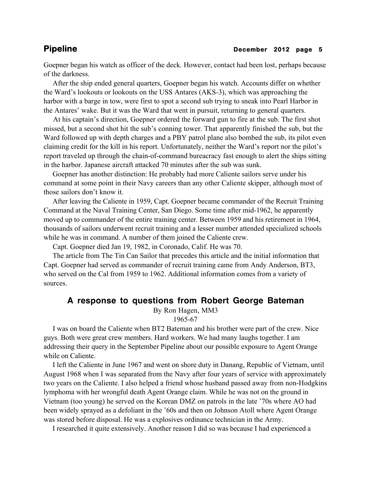Goepner began his watch as officer of the deck. However, contact had been lost, perhaps because of the darkness.

 After the ship ended general quarters, Goepner began his watch. Accounts differ on whether the Ward's lookouts or lookouts on the USS Antares (AKS-3), which was approaching the harbor with a barge in tow, were first to spot a second sub trying to sneak into Pearl Harbor in the Antares' wake. But it was the Ward that went in pursuit, returning to general quarters.

 At his captain's direction, Goepner ordered the forward gun to fire at the sub. The first shot missed, but a second shot hit the sub's conning tower. That apparently finished the sub, but the Ward followed up with depth charges and a PBY patrol plane also bombed the sub, its pilot even claiming credit for the kill in his report. Unfortunately, neither the Ward's report nor the pilot's report traveled up through the chain-of-command bureacracy fast enough to alert the ships sitting in the harbor. Japanese aircraft attacked 70 minutes after the sub was sunk.

 Goepner has another distinction: He probably had more Caliente sailors serve under his command at some point in their Navy careers than any other Caliente skipper, although most of those sailors don't know it.

 After leaving the Caliente in 1959, Capt. Goepner became commander of the Recruit Training Command at the Naval Training Center, San Diego. Some time after mid-1962, he apparently moved up to commander of the entire training center. Between 1959 and his retirement in 1964, thousands of sailors underwent recruit training and a lesser number attended specialized schools while he was in command. A number of them joined the Caliente crew.

Capt. Goepner died Jan 19, 1982, in Coronado, Calif. He was 70.

 The article from The Tin Can Sailor that precedes this article and the initial information that Capt. Goepner had served as commander of recruit training came from Andy Anderson, BT3, who served on the Cal from 1959 to 1962. Additional information comes from a variety of sources.

## **A response to questions from Robert George Bateman**

By Ron Hagen, MM3

## 1965-67

 I was on board the Caliente when BT2 Bateman and his brother were part of the crew. Nice guys. Both were great crew members. Hard workers. We had many laughs together. I am addressing their query in the September Pipeline about our possible exposure to Agent Orange while on Caliente.

 I left the Caliente in June 1967 and went on shore duty in Danang, Republic of Vietnam, until August 1968 when I was separated from the Navy after four years of service with approximately two years on the Caliente. I also helped a friend whose husband passed away from non-Hodgkins lymphoma with her wrongful death Agent Orange claim. While he was not on the ground in Vietnam (too young) he served on the Korean DMZ on patrols in the late '70s where AO had been widely sprayed as a defoliant in the '60s and then on Johnson Atoll where Agent Orange was stored before disposal. He was a explosives ordinance technician in the Army.

I researched it quite extensively. Another reason I did so was because I had experienced a